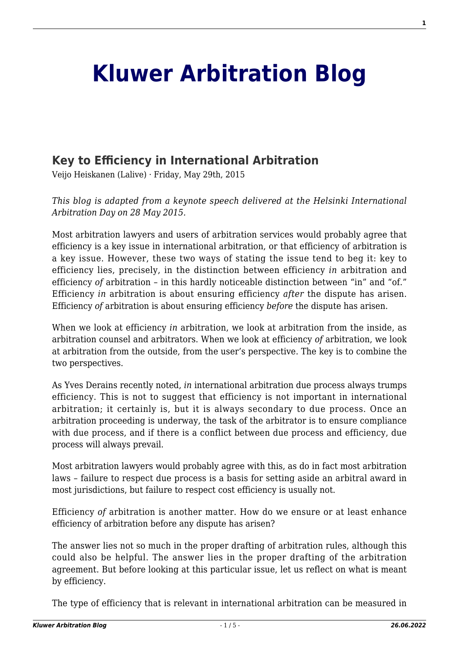## **[Kluwer Arbitration Blog](http://arbitrationblog.kluwerarbitration.com/)**

## **[Key to Efficiency in International Arbitration](http://arbitrationblog.kluwerarbitration.com/2015/05/29/key-to-efficiency-in-international-arbitration/)**

Veijo Heiskanen (Lalive) · Friday, May 29th, 2015

*This blog is adapted from a keynote speech delivered at the Helsinki International Arbitration Day on 28 May 2015.*

Most arbitration lawyers and users of arbitration services would probably agree that efficiency is a key issue in international arbitration, or that efficiency of arbitration is a key issue. However, these two ways of stating the issue tend to beg it: key to efficiency lies, precisely, in the distinction between efficiency *in* arbitration and efficiency *of* arbitration – in this hardly noticeable distinction between "in" and "of." Efficiency *in* arbitration is about ensuring efficiency *after* the dispute has arisen. Efficiency *of* arbitration is about ensuring efficiency *before* the dispute has arisen.

When we look at efficiency *in* arbitration, we look at arbitration from the inside, as arbitration counsel and arbitrators. When we look at efficiency *of* arbitration, we look at arbitration from the outside, from the user's perspective. The key is to combine the two perspectives.

As Yves Derains recently noted, *in* international arbitration due process always trumps efficiency. This is not to suggest that efficiency is not important in international arbitration; it certainly is, but it is always secondary to due process. Once an arbitration proceeding is underway, the task of the arbitrator is to ensure compliance with due process, and if there is a conflict between due process and efficiency, due process will always prevail.

Most arbitration lawyers would probably agree with this, as do in fact most arbitration laws – failure to respect due process is a basis for setting aside an arbitral award in most jurisdictions, but failure to respect cost efficiency is usually not.

Efficiency *of* arbitration is another matter. How do we ensure or at least enhance efficiency of arbitration before any dispute has arisen?

The answer lies not so much in the proper drafting of arbitration rules, although this could also be helpful. The answer lies in the proper drafting of the arbitration agreement. But before looking at this particular issue, let us reflect on what is meant by efficiency.

The type of efficiency that is relevant in international arbitration can be measured in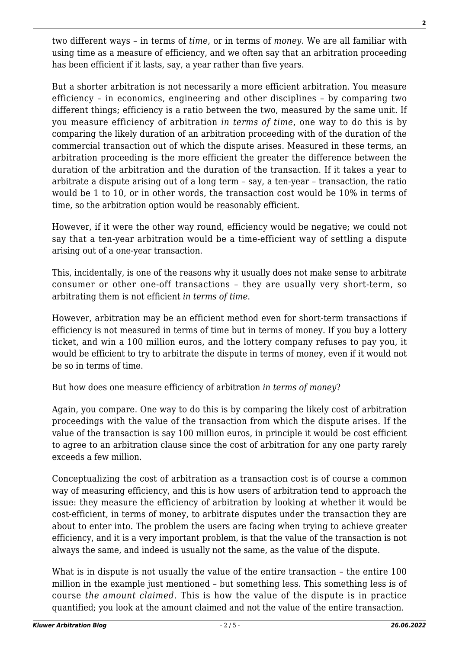two different ways – in terms of *time*, or in terms of *money*. We are all familiar with using time as a measure of efficiency, and we often say that an arbitration proceeding has been efficient if it lasts, say, a year rather than five years.

But a shorter arbitration is not necessarily a more efficient arbitration. You measure efficiency – in economics, engineering and other disciplines – by comparing two different things; efficiency is a ratio between the two, measured by the same unit. If you measure efficiency of arbitration *in terms of time*, one way to do this is by comparing the likely duration of an arbitration proceeding with of the duration of the commercial transaction out of which the dispute arises. Measured in these terms, an arbitration proceeding is the more efficient the greater the difference between the duration of the arbitration and the duration of the transaction. If it takes a year to arbitrate a dispute arising out of a long term – say, a ten-year – transaction, the ratio would be 1 to 10, or in other words, the transaction cost would be 10% in terms of time, so the arbitration option would be reasonably efficient.

However, if it were the other way round, efficiency would be negative; we could not say that a ten-year arbitration would be a time-efficient way of settling a dispute arising out of a one-year transaction.

This, incidentally, is one of the reasons why it usually does not make sense to arbitrate consumer or other one-off transactions – they are usually very short-term, so arbitrating them is not efficient *in terms of time*.

However, arbitration may be an efficient method even for short-term transactions if efficiency is not measured in terms of time but in terms of money. If you buy a lottery ticket, and win a 100 million euros, and the lottery company refuses to pay you, it would be efficient to try to arbitrate the dispute in terms of money, even if it would not be so in terms of time.

But how does one measure efficiency of arbitration *in terms of money*?

Again, you compare. One way to do this is by comparing the likely cost of arbitration proceedings with the value of the transaction from which the dispute arises. If the value of the transaction is say 100 million euros, in principle it would be cost efficient to agree to an arbitration clause since the cost of arbitration for any one party rarely exceeds a few million.

Conceptualizing the cost of arbitration as a transaction cost is of course a common way of measuring efficiency, and this is how users of arbitration tend to approach the issue: they measure the efficiency of arbitration by looking at whether it would be cost-efficient, in terms of money, to arbitrate disputes under the transaction they are about to enter into. The problem the users are facing when trying to achieve greater efficiency, and it is a very important problem, is that the value of the transaction is not always the same, and indeed is usually not the same, as the value of the dispute.

What is in dispute is not usually the value of the entire transaction – the entire 100 million in the example just mentioned – but something less. This something less is of course *the amount claimed*. This is how the value of the dispute is in practice quantified; you look at the amount claimed and not the value of the entire transaction.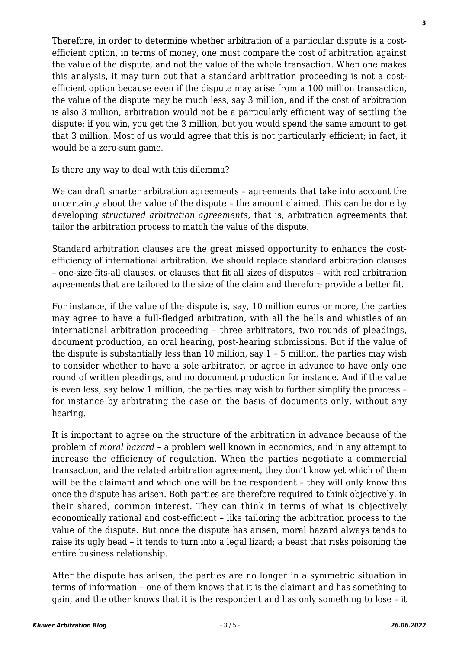Therefore, in order to determine whether arbitration of a particular dispute is a costefficient option, in terms of money, one must compare the cost of arbitration against the value of the dispute, and not the value of the whole transaction. When one makes this analysis, it may turn out that a standard arbitration proceeding is not a costefficient option because even if the dispute may arise from a 100 million transaction, the value of the dispute may be much less, say 3 million, and if the cost of arbitration is also 3 million, arbitration would not be a particularly efficient way of settling the dispute; if you win, you get the 3 million, but you would spend the same amount to get that 3 million. Most of us would agree that this is not particularly efficient; in fact, it would be a zero-sum game.

Is there any way to deal with this dilemma?

We can draft smarter arbitration agreements – agreements that take into account the uncertainty about the value of the dispute – the amount claimed. This can be done by developing *structured arbitration agreements*, that is, arbitration agreements that tailor the arbitration process to match the value of the dispute.

Standard arbitration clauses are the great missed opportunity to enhance the costefficiency of international arbitration. We should replace standard arbitration clauses – one-size-fits-all clauses, or clauses that fit all sizes of disputes – with real arbitration agreements that are tailored to the size of the claim and therefore provide a better fit.

For instance, if the value of the dispute is, say, 10 million euros or more, the parties may agree to have a full-fledged arbitration, with all the bells and whistles of an international arbitration proceeding – three arbitrators, two rounds of pleadings, document production, an oral hearing, post-hearing submissions. But if the value of the dispute is substantially less than 10 million, say 1 – 5 million, the parties may wish to consider whether to have a sole arbitrator, or agree in advance to have only one round of written pleadings, and no document production for instance. And if the value is even less, say below 1 million, the parties may wish to further simplify the process – for instance by arbitrating the case on the basis of documents only, without any hearing.

It is important to agree on the structure of the arbitration in advance because of the problem of *moral hazard* – a problem well known in economics, and in any attempt to increase the efficiency of regulation. When the parties negotiate a commercial transaction, and the related arbitration agreement, they don't know yet which of them will be the claimant and which one will be the respondent – they will only know this once the dispute has arisen. Both parties are therefore required to think objectively, in their shared, common interest. They can think in terms of what is objectively economically rational and cost-efficient – like tailoring the arbitration process to the value of the dispute. But once the dispute has arisen, moral hazard always tends to raise its ugly head – it tends to turn into a legal lizard; a beast that risks poisoning the entire business relationship.

After the dispute has arisen, the parties are no longer in a symmetric situation in terms of information – one of them knows that it is the claimant and has something to gain, and the other knows that it is the respondent and has only something to lose – it **3**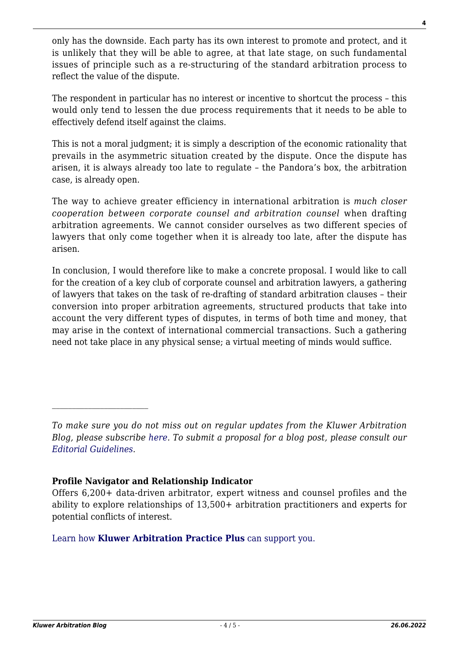only has the downside. Each party has its own interest to promote and protect, and it is unlikely that they will be able to agree, at that late stage, on such fundamental issues of principle such as a re-structuring of the standard arbitration process to reflect the value of the dispute.

The respondent in particular has no interest or incentive to shortcut the process – this would only tend to lessen the due process requirements that it needs to be able to effectively defend itself against the claims.

This is not a moral judgment; it is simply a description of the economic rationality that prevails in the asymmetric situation created by the dispute. Once the dispute has arisen, it is always already too late to regulate – the Pandora's box, the arbitration case, is already open.

The way to achieve greater efficiency in international arbitration is *much closer cooperation between corporate counsel and arbitration counsel* when drafting arbitration agreements. We cannot consider ourselves as two different species of lawyers that only come together when it is already too late, after the dispute has arisen.

In conclusion, I would therefore like to make a concrete proposal. I would like to call for the creation of a key club of corporate counsel and arbitration lawyers, a gathering of lawyers that takes on the task of re-drafting of standard arbitration clauses – their conversion into proper arbitration agreements, structured products that take into account the very different types of disputes, in terms of both time and money, that may arise in the context of international commercial transactions. Such a gathering need not take place in any physical sense; a virtual meeting of minds would suffice.

## **Profile Navigator and Relationship Indicator**

## [Learn how](https://www.wolterskluwer.com/en/solutions/kluwerarbitration/practiceplus?utm_source=arbitrationblog&utm_medium=articleCTA&utm_campaign=article-banner) **[Kluwer Arbitration Practice Plus](https://www.wolterskluwer.com/en/solutions/kluwerarbitration/practiceplus?utm_source=arbitrationblog&utm_medium=articleCTA&utm_campaign=article-banner)** [can support you.](https://www.wolterskluwer.com/en/solutions/kluwerarbitration/practiceplus?utm_source=arbitrationblog&utm_medium=articleCTA&utm_campaign=article-banner)

*To make sure you do not miss out on regular updates from the Kluwer Arbitration Blog, please subscribe [here](http://arbitrationblog.kluwerarbitration.com/newsletter/). To submit a proposal for a blog post, please consult our [Editorial Guidelines.](http://arbitrationblog.kluwerarbitration.com/editorial-guidelines/)*

Offers 6,200+ data-driven arbitrator, expert witness and counsel profiles and the ability to explore relationships of 13,500+ arbitration practitioners and experts for potential conflicts of interest.